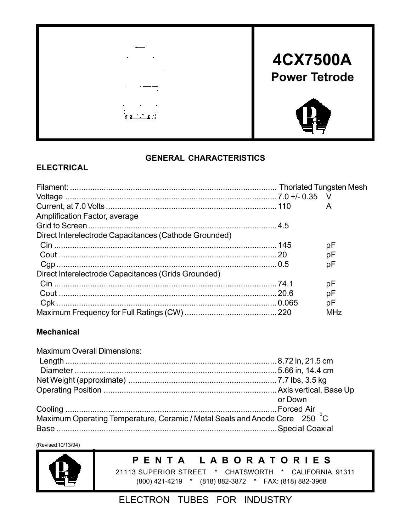

#### **GENERAL CHARACTERISTICS**

#### **ELECTRICAL**

|                                                       |       | A   |
|-------------------------------------------------------|-------|-----|
| Amplification Factor, average                         |       |     |
|                                                       |       |     |
| Direct Interelectrode Capacitances (Cathode Grounded) |       |     |
|                                                       |       | рF  |
|                                                       |       | рF  |
|                                                       |       | рF  |
| Direct Interelectrode Capacitances (Grids Grounded)   |       |     |
|                                                       |       | рF  |
|                                                       | .20.6 | рF  |
|                                                       |       | рF  |
|                                                       |       | MHz |

#### **Mechanical**

| <b>Maximum Overall Dimensions:</b>                                         |         |
|----------------------------------------------------------------------------|---------|
|                                                                            |         |
|                                                                            |         |
|                                                                            |         |
|                                                                            |         |
|                                                                            | or Down |
|                                                                            |         |
| Maximum Operating Temperature, Ceramic / Metal Seals and Anode Core 250 °C |         |

(Revised 10/13/94)



### **P E N T A L A B O R A T O R I E S**

 21113 SUPERIOR STREET \* CHATSWORTH \* CALIFORNIA 91311 (800) 421-4219 \* (818) 882-3872 \* FAX: (818) 882-3968

### ELECTRON TUBES FOR INDUSTRY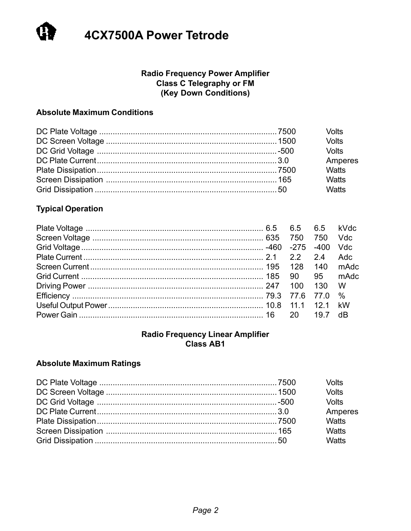#### **Radio Frequency Power Amplifier** Class C Telegraphy or FM (Key Down Conditions)

#### **Absolute Maximum Conditions**

|  | <b>Volts</b> |
|--|--------------|
|  | Volts        |
|  | <b>Volts</b> |
|  | Amperes      |
|  | Watts        |
|  | <b>Watts</b> |
|  | Watts        |

#### **Typical Operation**

|  |     |       | kVdc       |
|--|-----|-------|------------|
|  |     | 750   | <b>Vdc</b> |
|  |     | -400  | <b>Vdc</b> |
|  |     | 24    | Adc.       |
|  |     | - 140 | mAdc       |
|  |     |       | mAdc       |
|  | 100 | -130  | W          |
|  |     |       |            |
|  |     |       |            |
|  |     | 19.7  | dB         |

#### **Radio Frequency Linear Amplifier** Class AB1

#### **Absolute Maximum Ratings**

|  | Volts        |
|--|--------------|
|  | <b>Volts</b> |
|  | <b>Volts</b> |
|  | Amperes      |
|  | Watts        |
|  | <b>Watts</b> |
|  | <b>Watts</b> |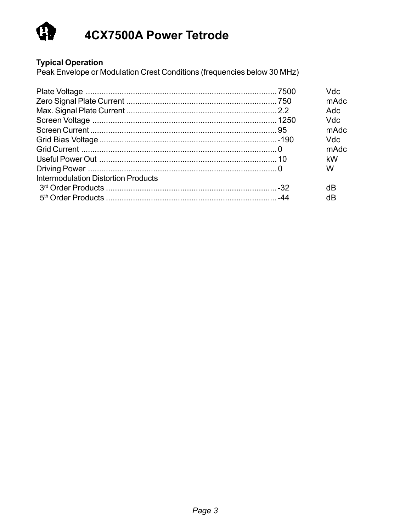

Typical Operation<br>Peak Envelope or Modulation Crest Conditions (frequencies below 30 MHz)

|                                            | Vdc<br>mAdc<br>Adc<br>Vdc<br>mAdc |
|--------------------------------------------|-----------------------------------|
|                                            | Vdc<br>mAdc<br>kW<br>W            |
| <b>Intermodulation Distortion Products</b> | dB<br>dB                          |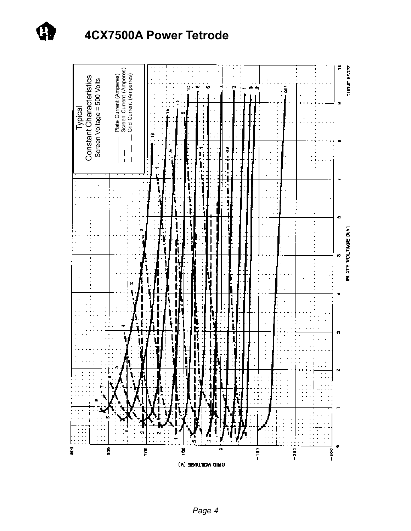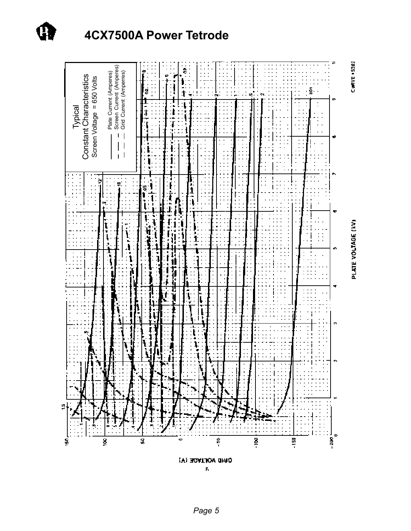

*Page 5*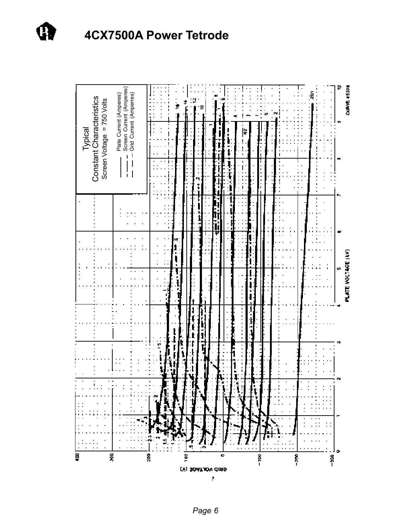

*Page 6*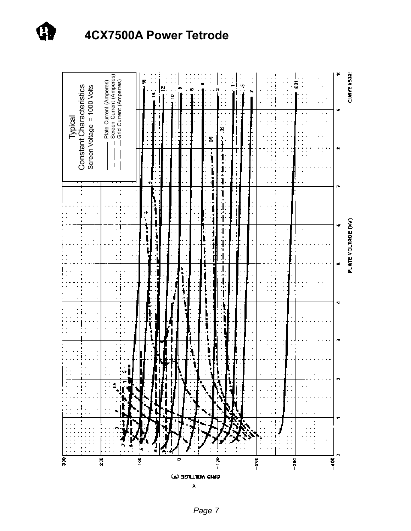